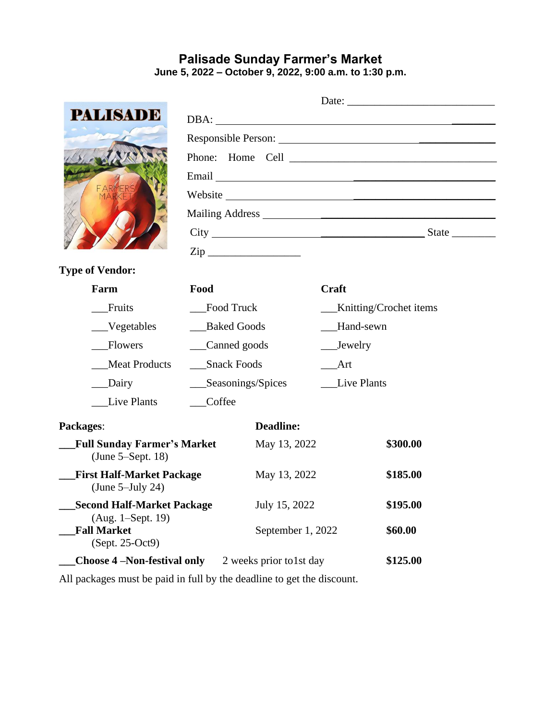# **Palisade Sunday Farmer's Market June 5, 2022 – October 9, 2022, 9:00 a.m. to 1:30 p.m.**

| <b>PALISADE</b>                                              |                      |                   |                          | DBA:     |  |  |
|--------------------------------------------------------------|----------------------|-------------------|--------------------------|----------|--|--|
|                                                              |                      |                   |                          |          |  |  |
|                                                              |                      |                   |                          |          |  |  |
|                                                              |                      |                   |                          |          |  |  |
|                                                              |                      |                   |                          |          |  |  |
|                                                              |                      |                   |                          |          |  |  |
|                                                              |                      |                   |                          |          |  |  |
|                                                              |                      | $\mathsf{Zip}\_$  |                          |          |  |  |
| <b>Type of Vendor:</b>                                       |                      |                   |                          |          |  |  |
| Farm                                                         | Food                 |                   | Craft                    |          |  |  |
| Fruits                                                       | <b>Food Truck</b>    |                   | __Knitting/Crochet items |          |  |  |
| Vegetables                                                   | <b>Baked Goods</b>   |                   | Hand-sewn                |          |  |  |
| <b>Flowers</b>                                               | Canned goods         |                   | $\_\_$ Jewelry           |          |  |  |
| <b>Meat Products</b>                                         | <b>Snack Foods</b>   |                   | <b>Art</b>               |          |  |  |
| Dairy                                                        | ___Seasonings/Spices |                   | <b>Live Plants</b>       |          |  |  |
| Live Plants                                                  | Coffee               |                   |                          |          |  |  |
| Packages:                                                    |                      | <b>Deadline:</b>  |                          |          |  |  |
| <b>Full Sunday Farmer's Market</b><br>(June 5–Sept. 18)      |                      | May 13, 2022      |                          | \$300.00 |  |  |
| <b>First Half-Market Package</b><br>(June $5$ -July 24)      |                      | May 13, 2022      |                          | \$185.00 |  |  |
| <b>Second Half-Market Package</b>                            | July 15, 2022        |                   | \$195.00                 |          |  |  |
| (Aug. 1–Sept. 19)<br><b>Fall Market</b><br>(Sept. 25-Oct9)   |                      | September 1, 2022 |                          | \$60.00  |  |  |
| <b>Choose 4 – Non-festival only</b> 2 weeks prior to 1st day |                      |                   |                          | \$125.00 |  |  |

All packages must be paid in full by the deadline to get the discount.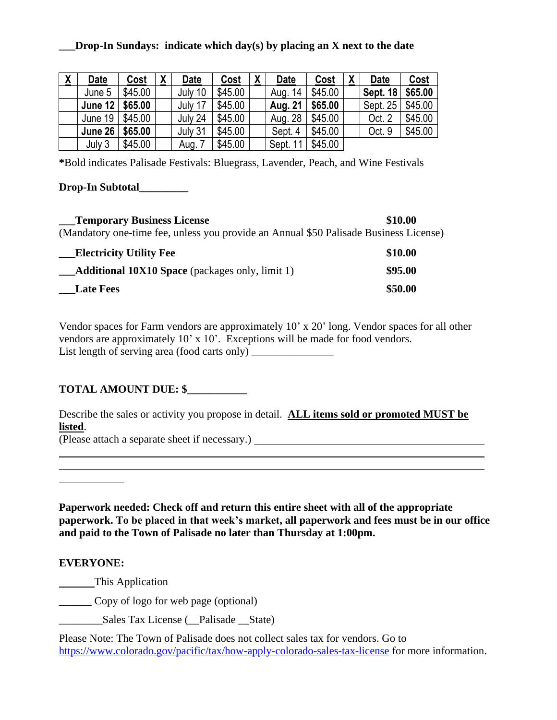## **\_\_\_Drop-In Sundays: indicate which day(s) by placing an X next to the date**

| $\underline{\mathbf{X}}$ | <b>Date</b>       | Cost    | X | <b>Date</b> | Cost    | $\underline{\mathsf{X}}$ | <b>Date</b>    | Cost    | $\underline{\mathsf{X}}$ | <b>Date</b>     | Cost    |
|--------------------------|-------------------|---------|---|-------------|---------|--------------------------|----------------|---------|--------------------------|-----------------|---------|
|                          | June 5            | \$45.00 |   | July 10     | \$45.00 |                          | Aug. 14        | \$45.00 |                          | <b>Sept. 18</b> | \$65.00 |
|                          | June $12$ \$65.00 |         |   | July 17     | \$45.00 |                          | <b>Aug. 21</b> | \$65.00 |                          | Sept. 25        | \$45.00 |
|                          | June 19           | \$45.00 |   | July 24     | \$45.00 |                          | Aug. 28        | \$45.00 |                          | Oct. 2          | \$45.00 |
|                          | <b>June 26</b>    | \$65.00 |   | July 31     | \$45.00 |                          | Sept. 4        | \$45.00 |                          | Oct. 9          | \$45.00 |
|                          | July 3            | \$45.00 |   | Aug. 7      | \$45.00 |                          | Sept. 11       | \$45.00 |                          |                 |         |

**\***Bold indicates Palisade Festivals: Bluegrass, Lavender, Peach, and Wine Festivals

## **Drop-In Subtotal\_\_\_\_\_\_\_\_\_**

**\_\_\_Temporary Business License \$10.00** (Mandatory one-time fee, unless you provide an Annual \$50 Palisade Business License) **\_\_\_Electricity Utility Fee \$10.00 Additional 10X10 Space** (packages only, limit 1) **\$95.00 \_\_\_Late Fees \$50.00**

Vendor spaces for Farm vendors are approximately 10' x 20' long. Vendor spaces for all other vendors are approximately 10' x 10'. Exceptions will be made for food vendors. List length of serving area (food carts only)

# **TOTAL AMOUNT DUE: \$\_\_\_\_\_\_\_\_\_\_\_**

Describe the sales or activity you propose in detail. **ALL items sold or promoted MUST be listed**.

 $\overline{a}$ 

(Please attach a separate sheet if necessary.)

**Paperwork needed: Check off and return this entire sheet with all of the appropriate paperwork. To be placed in that week's market, all paperwork and fees must be in our office and paid to the Town of Palisade no later than Thursday at 1:00pm.**

 $\overline{a}$ 

# **EVERYONE:**

This Application

\_\_\_\_\_\_ Copy of logo for web page (optional)

Sales Tax License ( \_\_Palisade \_\_State)

Please Note: The Town of Palisade does not collect sales tax for vendors. Go to <https://www.colorado.gov/pacific/tax/how-apply-colorado-sales-tax-license> for more information.